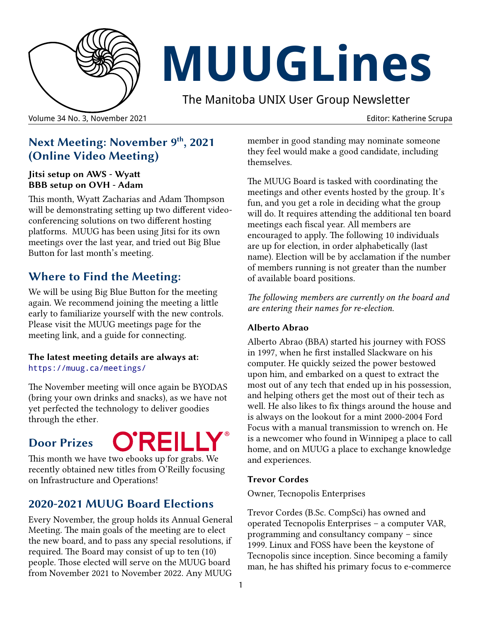

# **MUUGLines**

The Manitoba UNIX User Group Newsletter

#### Volume 34 No. 3, November 2021 Editor: Katherine Scrupa

## **Next Meeting: November 9 th, 2021 (Online Video Meeting)**

#### **Jitsi setup on AWS - Wyatt BBB setup on OVH - Adam**

This month, Wyatt Zacharias and Adam Thompson will be demonstrating setting up two different videoconferencing solutions on two different hosting platforms. MUUG has been using Jitsi for its own meetings over the last year, and tried out Big Blue Button for last month's meeting.

## **Where to Find the Meeting:**

We will be using Big Blue Button for the meeting again. We recommend joining the meeting a little early to familiarize yourself with the new controls. Please visit the MUUG meetings page for the meeting link, and a guide for connecting.

#### **The latest meeting details are always at:** https://muug.ca/meetings/

The November meeting will once again be BYODAS (bring your own drinks and snacks), as we have not yet perfected the technology to deliver goodies through the ether*.*

# **Door Prizes**



This month we have two ebooks up for grabs. We recently obtained new titles from O'Reilly focusing on Infrastructure and Operations!

## **2020-2021 MUUG Board Elections**

Every November, the group holds its Annual General Meeting. The main goals of the meeting are to elect the new board, and to pass any special resolutions, if required. The Board may consist of up to ten (10) people. Those elected will serve on the MUUG board from November 2021 to November 2022. Any MUUG

member in good standing may nominate someone they feel would make a good candidate, including themselves.

The MUUG Board is tasked with coordinating the meetings and other events hosted by the group. It's fun, and you get a role in deciding what the group will do. It requires attending the additional ten board meetings each fiscal year. All members are encouraged to apply. The following 10 individuals are up for election, in order alphabetically (last name). Election will be by acclamation if the number of members running is not greater than the number of available board positions.

*The following members are currently on the board and are entering their names for re-election.*

#### **Alberto Abrao**

Alberto Abrao (BBA) started his journey with FOSS in 1997, when he first installed Slackware on his computer. He quickly seized the power bestowed upon him, and embarked on a quest to extract the most out of any tech that ended up in his possession, and helping others get the most out of their tech as well. He also likes to fix things around the house and is always on the lookout for a mint 2000-2004 Ford Focus with a manual transmission to wrench on. He is a newcomer who found in Winnipeg a place to call home, and on MUUG a place to exchange knowledge and experiences.

#### **Trevor Cordes**

Owner, Tecnopolis Enterprises

Trevor Cordes (B.Sc. CompSci) has owned and operated Tecnopolis Enterprises – a computer VAR, programming and consultancy company – since 1999. Linux and FOSS have been the keystone of Tecnopolis since inception. Since becoming a family man, he has shifted his primary focus to e-commerce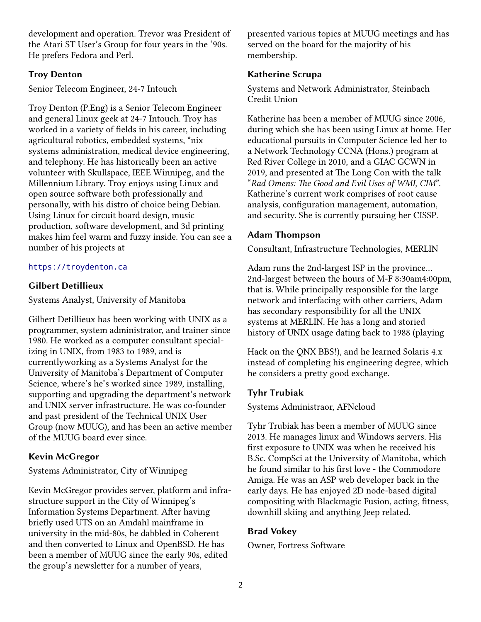development and operation. Trevor was President of the Atari ST User's Group for four years in the '90s. He prefers Fedora and Perl.

#### **Troy Denton**

Senior Telecom Engineer, 24-7 Intouch

Troy Denton (P.Eng) is a Senior Telecom Engineer and general Linux geek at 24-7 Intouch. Troy has worked in a variety of fields in his career, including agricultural robotics, embedded systems, \*nix systems administration, medical device engineering, and telephony. He has historically been an active volunteer with Skullspace, IEEE Winnipeg, and the Millennium Library. Troy enjoys using Linux and open source software both professionally and personally, with his distro of choice being Debian. Using Linux for circuit board design, music production, software development, and 3d printing makes him feel warm and fuzzy inside. You can see a number of his projects at

#### [https://troydenton.ca](https://troydenton.ca/)

#### **Gilbert Detillieux**

Systems Analyst, University of Manitoba

Gilbert Detillieux has been working with UNIX as a programmer, system administrator, and trainer since 1980. He worked as a computer consultant specializing in UNIX, from 1983 to 1989, and is currentlyworking as a Systems Analyst for the University of Manitoba's Department of Computer Science, where's he's worked since 1989, installing, supporting and upgrading the department's network and UNIX server infrastructure. He was co-founder and past president of the Technical UNIX User Group (now MUUG), and has been an active member of the MUUG board ever since.

#### **Kevin McGregor**

Systems Administrator, City of Winnipeg

Kevin McGregor provides server, platform and infrastructure support in the City of Winnipeg's Information Systems Department. After having briefly used UTS on an Amdahl mainframe in university in the mid-80s, he dabbled in Coherent and then converted to Linux and OpenBSD. He has been a member of MUUG since the early 90s, edited the group's newsletter for a number of years,

presented various topics at MUUG meetings and has served on the board for the majority of his membership.

#### **Katherine Scrupa**

Systems and Network Administrator, Steinbach Credit Union

Katherine has been a member of MUUG since 2006, during which she has been using Linux at home. Her educational pursuits in Computer Science led her to a Network Technology CCNA (Hons.) program at Red River College in 2010, and a GIAC GCWN in 2019, and presented at The Long Con with the talk "*Rad Omens: The Good and Evil Uses of WMI, CIM*". Katherine's current work comprises of root cause analysis, configuration management, automation, and security. She is currently pursuing her CISSP.

#### **Adam Thompson**

Consultant, Infrastructure Technologies, MERLIN

Adam runs the 2nd-largest ISP in the province... 2nd-largest between the hours of M-F 8:30am4:00pm, that is. While principally responsible for the large network and interfacing with other carriers, Adam has secondary responsibility for all the UNIX systems at MERLIN. He has a long and storied history of UNIX usage dating back to 1988 (playing

Hack on the QNX BBS!), and he learned Solaris 4.x instead of completing his engineering degree, which he considers a pretty good exchange.

#### **Tyhr Trubiak**

Systems Administraor, AFNcloud

Tyhr Trubiak has been a member of MUUG since 2013. He manages linux and Windows servers. His first exposure to UNIX was when he received his B.Sc. CompSci at the University of Manitoba, which he found similar to his first love - the Commodore Amiga. He was an ASP web developer back in the early days. He has enjoyed 2D node-based digital compositing with Blackmagic Fusion, acting, fitness, downhill skiing and anything Jeep related.

#### **Brad Vokey**

Owner, Fortress Software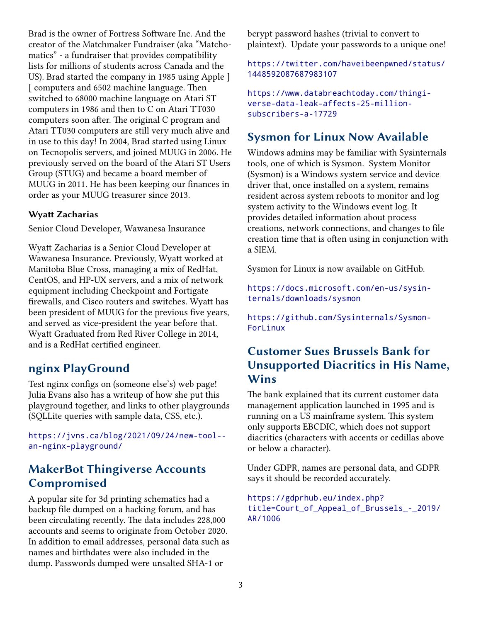Brad is the owner of Fortress Software Inc. And the creator of the Matchmaker Fundraiser (aka "Matchomatics" - a fundraiser that provides compatibility lists for millions of students across Canada and the US). Brad started the company in 1985 using Apple ] [ computers and 6502 machine language. Then switched to 68000 machine language on Atari ST computers in 1986 and then to C on Atari TT030 computers soon after. The original C program and Atari TT030 computers are still very much alive and in use to this day! In 2004, Brad started using Linux on Tecnopolis servers, and joined MUUG in 2006. He previously served on the board of the Atari ST Users Group (STUG) and became a board member of MUUG in 2011. He has been keeping our finances in order as your MUUG treasurer since 2013.

#### **Wyatt Zacharias**

Senior Cloud Developer, Wawanesa Insurance

Wyatt Zacharias is a Senior Cloud Developer at Wawanesa Insurance. Previously, Wyatt worked at Manitoba Blue Cross, managing a mix of RedHat, CentOS, and HP-UX servers, and a mix of network equipment including Checkpoint and Fortigate firewalls, and Cisco routers and switches. Wyatt has been president of MUUG for the previous five years, and served as vice-president the year before that. Wyatt Graduated from Red River College in 2014, and is a RedHat certified engineer.

#### **nginx PlayGround**

Test nginx configs on (someone else's) web page! Julia Evans also has a writeup of how she put this playground together, and links to other playgrounds (SQLLite queries with sample data, CSS, etc.).

[https://jvns.ca/blog/2021/09/24/new-tool-](https://jvns.ca/blog/2021/09/24/new-tool--an-nginx-playground/) [an-nginx-playground/](https://jvns.ca/blog/2021/09/24/new-tool--an-nginx-playground/)

## **MakerBot Thingiverse Accounts Compromised**

A popular site for 3d printing schematics had a backup file dumped on a hacking forum, and has been circulating recently. The data includes 228,000 accounts and seems to originate from October 2020. In addition to email addresses, personal data such as names and birthdates were also included in the dump. Passwords dumped were unsalted SHA-1 or

bcrypt password hashes (trivial to convert to plaintext). Update your passwords to a unique one!

[https://twitter.com/haveibeenpwned/status/](https://twitter.com/haveibeenpwned/status/1448592087687983107) [1448592087687983107](https://twitter.com/haveibeenpwned/status/1448592087687983107)

[https://www.databreachtoday.com/thingi](https://www.databreachtoday.com/thingiverse-data-leak-affects-25-million-subscribers-a-17729)[verse-data-leak-affects-25-million](https://www.databreachtoday.com/thingiverse-data-leak-affects-25-million-subscribers-a-17729)[subscribers-a-17729](https://www.databreachtoday.com/thingiverse-data-leak-affects-25-million-subscribers-a-17729)

### **Sysmon for Linux Now Available**

Windows admins may be familiar with Sysinternals tools, one of which is Sysmon. System Monitor (Sysmon) is a Windows system service and device driver that, once installed on a system, remains resident across system reboots to monitor and log system activity to the Windows event log. It provides detailed information about process creations, network connections, and changes to file creation time that is often using in conjunction with a SIEM.

Sysmon for Linux is now available on GitHub.

[https://docs.microsoft.com/en-us/sysin](https://docs.microsoft.com/en-us/sysinternals/downloads/sysmon)[ternals/downloads/sysmon](https://docs.microsoft.com/en-us/sysinternals/downloads/sysmon)

[https://github.com/Sysinternals/Sysmon-](https://github.com/Sysinternals/SysmonForLinux)[ForLinux](https://github.com/Sysinternals/SysmonForLinux)

## **Customer Sues Brussels Bank for Unsupported Diacritics in His Name, Wins**

The bank explained that its current customer data management application launched in 1995 and is running on a US mainframe system. This system only supports EBCDIC, which does not support diacritics (characters with accents or cedillas above or below a character).

Under GDPR, names are personal data, and GDPR says it should be recorded accurately.

[https://gdprhub.eu/index.php?](https://gdprhub.eu/index.php?title=Court_of_Appeal_of_Brussels_-_2019/AR/1006) [title=Court\\_of\\_Appeal\\_of\\_Brussels\\_-\\_2019/](https://gdprhub.eu/index.php?title=Court_of_Appeal_of_Brussels_-_2019/AR/1006) [AR/1006](https://gdprhub.eu/index.php?title=Court_of_Appeal_of_Brussels_-_2019/AR/1006)